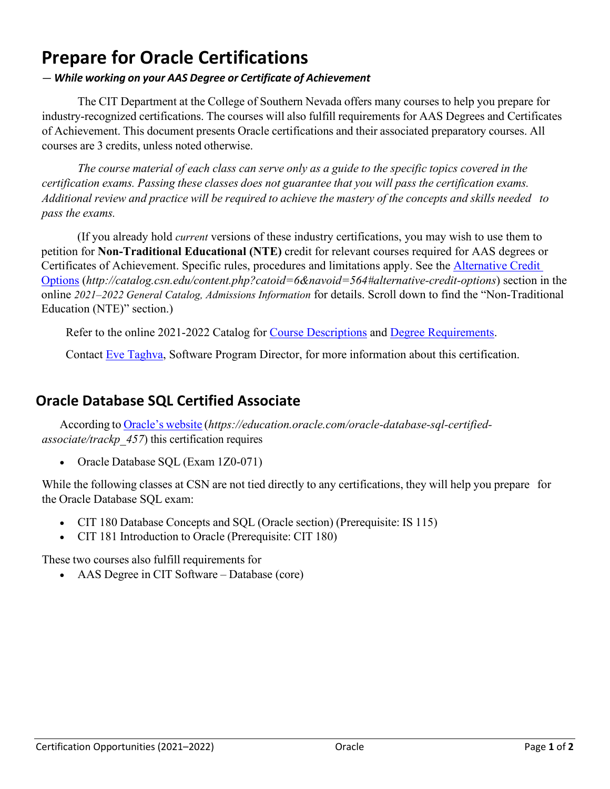# **Prepare for Oracle Certifications**

#### *— While working on your AAS Degree or Certificate of Achievement*

The CIT Department at the College of Southern Nevada offers many courses to help you prepare for industry-recognized certifications. The courses will also fulfill requirements for AAS Degrees and Certificates of Achievement. This document presents Oracle certifications and their associated preparatory courses. All courses are 3 credits, unless noted otherwise.

The course material of each class can serve only as a guide to the specific topics covered in the *certification exams. Passing these classes does not guarantee that you will pass the certification exams.* Additional review and practice will be required to achieve the mastery of the concepts and skills needed to *pass the exams.*

(If you already hold *current* versions of these industry certifications, you may wish to use them to petition for **Non-Traditional Educational (NTE)** credit for relevant courses required for AAS degrees or Certificates of Achievement. Specific rules, procedures and limitations apply. See the [Alternative Credit](http://catalog.csn.edu/content.php?catoid=6&navoid=564#alternative-credit-options)  [Options](http://catalog.csn.edu/content.php?catoid=6&navoid=564#alternative-credit-options) (*http://catalog.csn.edu/content.php?catoid=6&navoid=564#alternative-credit-options*) section in the online *2021–2022 General Catalog, Admissions Information* for details. Scroll down to find the "Non-Traditional Education (NTE)" section.)

Refer to the online 2021-2022 Catalog for [Course Descriptions](http://catalog.csn.edu/content.php?catoid=6&navoid=571) and [Degree Requirements.](http://catalog.csn.edu/content.php?catoid=6&navoid=594)

Contact [Eve Taghva,](https://www.csn.edu/directory/eve-taghva) Software Program Director, for more information about this certification.

### **Oracle Database SQL Certified Associate**

According to [Oracle's](https://education.oracle.com/oracle-database-sql-certified-associate/trackp_457) website (*https://education.oracle.com/oracle-database-sql-certifiedassociate/trackp\_457*) this certification requires

• Oracle Database SOL (Exam 1Z0-071)

While the following classes at CSN are not tied directly to any certifications, they will help you prepare for the Oracle Database SQL exam:

- CIT 180 Database Concepts and SQL (Oracle section) (Prerequisite: IS 115)
- CIT 181 Introduction to Oracle (Prerequisite: CIT 180)

These two courses also fulfill requirements for

• AAS Degree in CIT Software – Database (core)